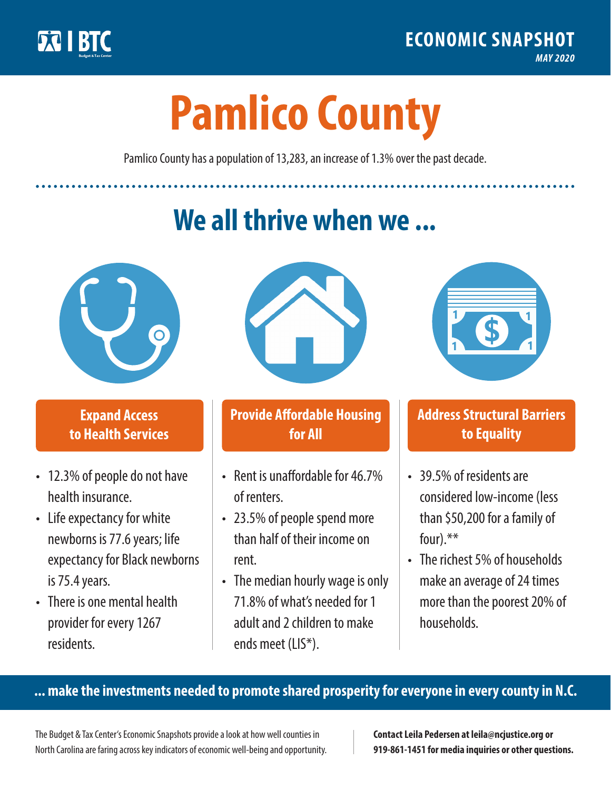

**1**

# **Pamlico County**

Pamlico County has a population of 13,283, an increase of 1.3% over the past decade.

# **We all thrive when we ...**



**\$ <sup>1</sup>**

**\$ <sup>1</sup>**

## **Expand Access to Health Services**

- 12.3% of people do not have health insurance.
- Life expectancy for white newborns is 77.6years; life expectancy for Black newborns is 75.4years.
- There is one mental health provider for every 1267 residents.



## **Provide Affordable Housing for All**

- Rent is unaffordable for 46 7% of renters.
- 23.5% of people spend more than half of their income on rent.
- The median hourly wage is only 71.8% of what's needed for 1 adult and 2 children to make ends meet (LIS\*).



## **Address Structural Barriers to Equality**

- 39.5% of residents are considered low-income (less than \$50,200 for a family of four).\*\*
- The richest 5% of households make an average of 24 times more than the poorest 20% of households.

#### **... make the investments needed to promote shared prosperity for everyone in every county in N.C.**

The Budget & Tax Center's Economic Snapshots provide a look at how well counties in North Carolina are faring across key indicators of economic well-being and opportunity.